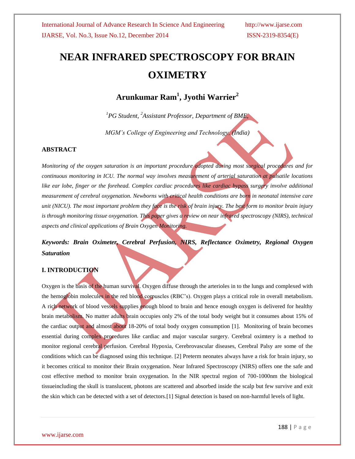# **NEAR INFRARED SPECTROSCOPY FOR BRAIN OXIMETRY**

# **Arunkumar Ram<sup>1</sup> , Jyothi Warrier<sup>2</sup>**

*<sup>1</sup>PG Student, <sup>2</sup>Assistant Professor, Department of BME,* 

*MGM's College of Engineering and Technology, (India)*

### **ABSTRACT**

*Monitoring of the oxygen saturation is an important procedure adopted during most surgical procedures and for continuous monitoring in ICU. The normal way involves measurement of arterial saturation at pulsatile locations like ear lobe, finger or the forehead. Complex cardiac procedures like cardiac bypass surgery involve additional measurement of cerebral oxygenation. Newborns with critical health conditions are born in neonatal intensive care unit (NICU). The most important problem they face is the risk of brain injury. The best form to monitor brain injury is through monitoring tissue oxygenation. This paper gives a review on near infrared spectroscopy (NIRS), technical aspects and clinical applications of Brain Oxygen Monitoring.*

# *Keywords: Brain Oximeter, Cerebral Perfusion, NIRS, Reflectance Oximetry, Regional Oxygen Saturation*

### **I. INTRODUCTION**

Oxygen is the basis of the human survival. Oxygen diffuse through the arterioles in to the lungs and complexed with the hemoglobin molecules in the red blood corpuscles (RBC's). Oxygen plays a critical role in overall metabolism. A rich network of blood vessels supplies enough blood to brain and hence enough oxygen is delivered for healthy brain metabolism. No matter adults brain occupies only 2% of the total body weight but it consumes about 15% of the cardiac output and almost about 18-20% of total body oxygen consumption [1]. Monitoring of brain becomes essential during complex procedures like cardiac and major vascular surgery. Cerebral oximtery is a method to monitor regional cerebral perfusion. Cerebral Hypoxia, Cerebrovascular diseases, Cerebral Palsy are some of the conditions which can be diagnosed using this technique. [2] Preterm neonates always have a risk for brain injury, so it becomes critical to monitor their Brain oxygenation. Near Infrared Spectroscopy (NIRS) offers one the safe and cost effective method to monitor brain oxygenation. In the NIR spectral region of 700-1000nm the biological tissueincluding the skull is translucent, photons are scattered and absorbed inside the scalp but few survive and exit the skin which can be detected with a set of detectors.[1] Signal detection is based on non-harmful levels of light.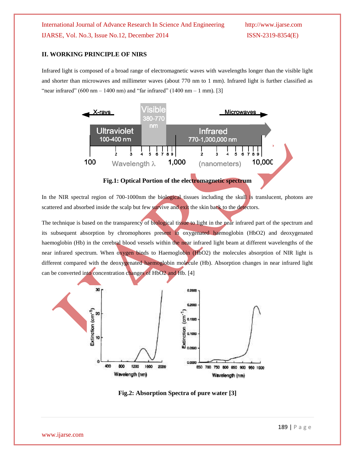### **II. WORKING PRINCIPLE OF NIRS**

Infrared light is composed of a broad range of electromagnetic waves with wavelengths longer than the visible light and shorter than microwaves and millimeter waves (about 770 nm to 1 mm). Infrared light is further classified as "near infrared"  $(600 \text{ nm} - 1400 \text{ nm})$  and "far infrared"  $(1400 \text{ nm} - 1 \text{ mm})$ . [3]



**Fig.1: Optical Portion of the electromagnetic spectrum**

In the NIR spectral region of 700-1000nm the biological tissues including the skull is translucent, photons are scattered and absorbed inside the scalp but few survive and exit the skin back to the detectors.

The technique is based on the transparency of biological tissue to light in the near infrared part of the spectrum and its subsequent absorption by chromophores present in oxygenated haemoglobin (HbO2) and deoxygenated haemoglobin (Hb) in the cerebral blood vessels within the near infrared light beam at different wavelengths of the near infrared spectrum. When oxygen binds to Haemoglobin (HbO2) the molecules absorption of NIR light is different compared with the deoxygenated haemoglobin molecule (Hb). Absorption changes in near infrared light can be converted into concentration changes of HbO2 and Hb. [4]



**Fig.2: Absorption Spectra of pure water [3]**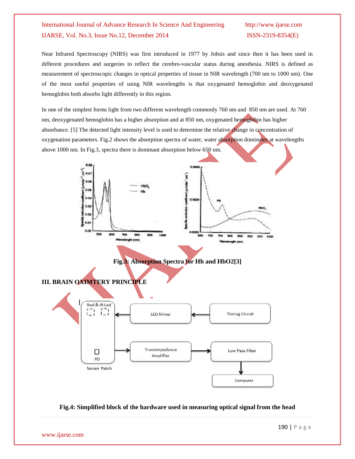Near Infrared Spectroscopy (NIRS) was first introduced in 1977 by Jobsis and since then it has been used in different procedures and surgeries to reflect the cerebro-vascular status during anesthesia. NIRS is defined as measurement of spectroscopic changes in optical properties of tissue in NIR wavelength (700 nm to 1000 nm). One of the most useful properties of using NIR wavelengths is that oxygenated hemoglobin and deoxygenated hemoglobin both absorbs light differently in this region.

In one of the simplest forms light from two different wavelength commonly 760 nm and 850 nm are used. At 760 nm, deoxygenated hemoglobin has a higher absorption and at 850 nm, oxygenated hemoglobin has higher absorbance. [5] The detected light intensity level is used to determine the relative change in concentration of oxygenation parameters. Fig.2 shows the absorption spectra of water, water absorption dominates at wavelengths above 1000 nm. In Fig.3, spectra there is dominant absorption below 650 nm.



**Fig.4: Simplified block of the hardware used in measuring optical signal from the head**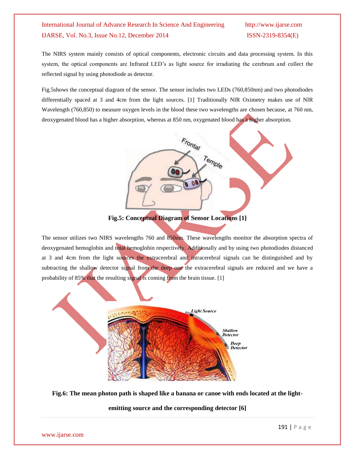The NIRS system mainly consists of optical components, electronic circuits and data processing system. In this system, the optical components are Infrared LED's as light source for irradiating the cerebrum and collect the reflected signal by using photodiode as detector.

Fig.5shows the conceptual diagram of the sensor. The sensor includes two LEDs (760,850nm) and two photodiodes differentially spaced at 3 and 4cm from the light sources. [1] Traditionally NIR Oximetry makes use of NIR Wavelength (760,850) to measure oxygen levels in the blood these two wavelengths are chosen because, at 760 nm, deoxygenated blood has a higher absorption, whereas at 850 nm, oxygenated blood has a higher absorption.



**Fig.5: Conceptual Diagram of Sensor Locations [1]**

The sensor utilizes two NIRS wavelengths 760 and 850nm. These wavelengths monitor the absorption spectra of deoxygenated hemoglobin and total hemoglobin respectively. Additionally and by using two photodiodes distanced at 3 and 4cm from the light sources the extracerebral and intracerebral signals can be distinguished and by subtracting the shallow detector signal from the deep one the extracerebral signals are reduced and we have a probability of 85% that the resulting signal is coming from the brain tissue. [1]



**Fig.6: The mean photon path is shaped like a banana or canoe with ends located at the light-**

**emitting source and the corresponding detector [6]**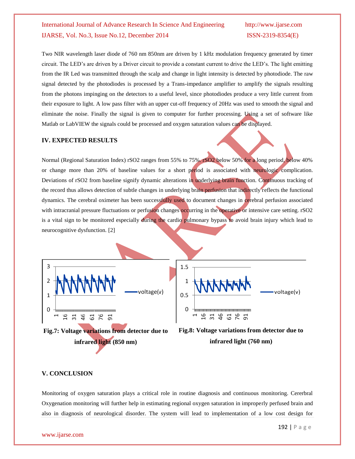Two NIR wavelength laser diode of 760 nm 850nm are driven by 1 kHz modulation frequency generated by timer circuit. The LED's are driven by a Driver circuit to provide a constant current to drive the LED's. The light emitting from the IR Led was transmitted through the scalp and change in light intensity is detected by photodiode. The raw signal detected by the photodiodes is processed by a Trans-impedance amplifier to amplify the signals resulting from the photons impinging on the detectors to a useful level, since photodiodes produce a very little current from their exposure to light. A low pass filter with an upper cut-off frequency of 20Hz was used to smooth the signal and eliminate the noise. Finally the signal is given to computer for further processing. Using a set of software like Matlab or LabVIEW the signals could be processed and oxygen saturation values can be displayed.

### **IV. EXPECTED RESULTS**

Normal (Regional Saturation Index) rSO2 ranges from 55% to 75%. rSO2 below 50% for a long period, below 40% or change more than 20% of baseline values for a short period is associated with neurologic complication. Deviations of rSO2 from baseline signify dynamic alterations in underlying brain function. Continuous tracking of the record thus allows detection of subtle changes in underlying brain perfusion that indirectly reflects the functional dynamics. The cerebral oximeter has been successfully used to document changes in cerebral perfusion associated with intracranial pressure fluctuations or perfusion changes occurring in the operative or intensive care setting. rSO2 is a vital sign to be monitored especially during the cardio pulmonary bypass to avoid brain injury which lead to neurocognitive dysfunction. [2]



**Fig.7: Voltage variations from detector due to infrared light (850 nm)**



### **V. CONCLUSION**

Monitoring of oxygen saturation plays a critical role in routine diagnosis and continuous monitoring. Cererbral Oxygenation monitoring will further help in estimating regional oxygen saturation in improperly perfused brain and also in diagnosis of neurological disorder. The system will lead to implementation of a low cost design for